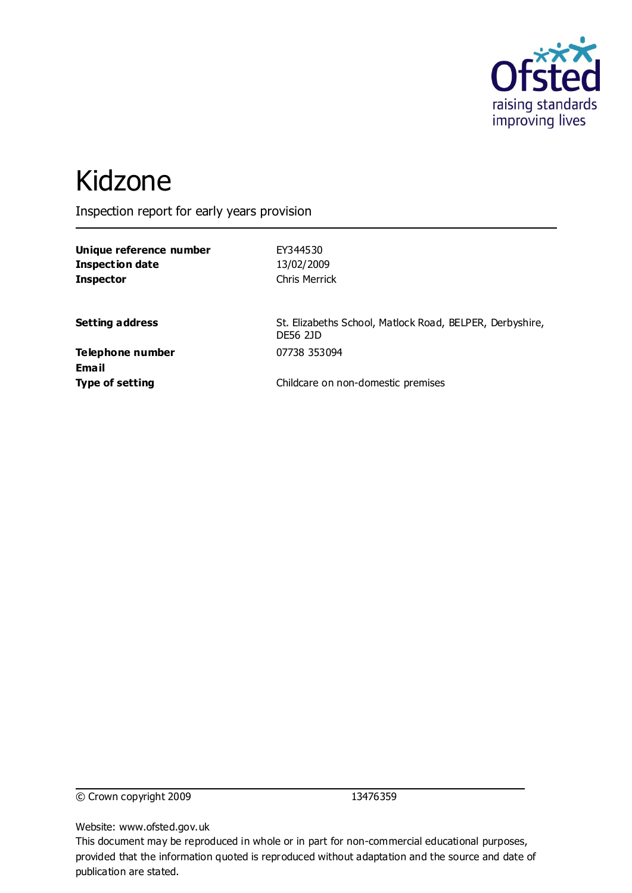

# Kidzone

Inspection report for early years provision

**Unique reference number** EY344530 **Inspection date** 13/02/2009 **Inspector** Chris Merrick

**Setting address** St. Elizabeths School, Matlock Road, BELPER, Derbyshire, DE56 2JD

**Telephone number** 07738 353094 **Email**

**Type of setting** Childcare on non-domestic premises

© Crown copyright 2009 13476359

Website: www.ofsted.gov.uk

This document may be reproduced in whole or in part for non-commercial educational purposes, provided that the information quoted is reproduced without adaptation and the source and date of publication are stated.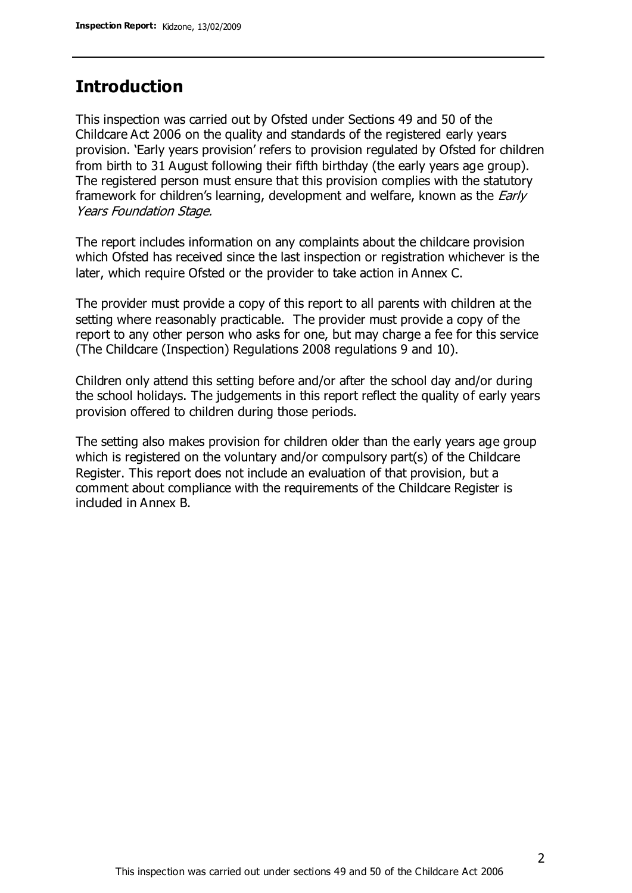### **Introduction**

This inspection was carried out by Ofsted under Sections 49 and 50 of the Childcare Act 2006 on the quality and standards of the registered early years provision. 'Early years provision' refers to provision regulated by Ofsted for children from birth to 31 August following their fifth birthday (the early years age group). The registered person must ensure that this provision complies with the statutory framework for children's learning, development and welfare, known as the *Early* Years Foundation Stage.

The report includes information on any complaints about the childcare provision which Ofsted has received since the last inspection or registration whichever is the later, which require Ofsted or the provider to take action in Annex C.

The provider must provide a copy of this report to all parents with children at the setting where reasonably practicable. The provider must provide a copy of the report to any other person who asks for one, but may charge a fee for this service (The Childcare (Inspection) Regulations 2008 regulations 9 and 10).

Children only attend this setting before and/or after the school day and/or during the school holidays. The judgements in this report reflect the quality of early years provision offered to children during those periods.

The setting also makes provision for children older than the early years age group which is registered on the voluntary and/or compulsory part(s) of the Childcare Register. This report does not include an evaluation of that provision, but a comment about compliance with the requirements of the Childcare Register is included in Annex B.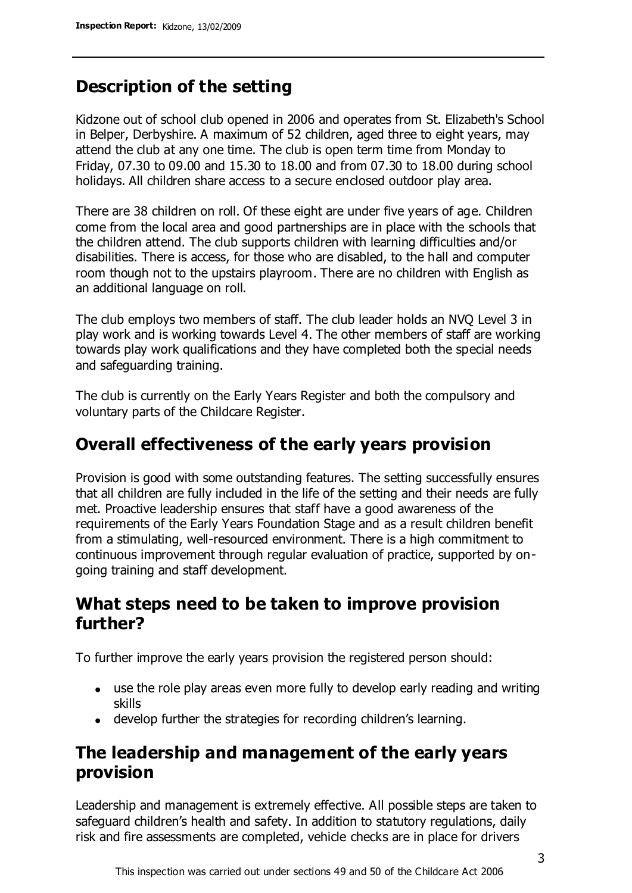### **Description of the setting**

Kidzone out of school club opened in 2006 and operates from St. Elizabeth's School in Belper, Derbyshire. A maximum of 52 children, aged three to eight years, may attend the club at any one time. The club is open term time from Monday to Friday, 07.30 to 09.00 and 15.30 to 18.00 and from 07.30 to 18.00 during school holidays. All children share access to a secure enclosed outdoor play area.

There are 38 children on roll. Of these eight are under five years of age. Children come from the local area and good partnerships are in place with the schools that the children attend. The club supports children with learning difficulties and/or disabilities. There is access, for those who are disabled, to the hall and computer room though not to the upstairs playroom. There are no children with English as an additional language on roll.

The club employs two members of staff. The club leader holds an NVQ Level 3 in play work and is working towards Level 4. The other members of staff are working towards play work qualifications and they have completed both the special needs and safeguarding training.

The club is currently on the Early Years Register and both the compulsory and voluntary parts of the Childcare Register.

### **Overall effectiveness of the early years provision**

Provision is good with some outstanding features. The setting successfully ensures that all children are fully included in the life of the setting and their needs are fully met. Proactive leadership ensures that staff have a good awareness of the requirements of the Early Years Foundation Stage and as a result children benefit from a stimulating, well-resourced environment. There is a high commitment to continuous improvement through regular evaluation of practice, supported by ongoing training and staff development.

### **What steps need to be taken to improve provision further?**

To further improve the early years provision the registered person should:

- use the role play areas even more fully to develop early reading and writing skills
- develop further the strategies for recording children's learning.

### **The leadership and management of the early years provision**

Leadership and management is extremely effective. All possible steps are taken to safeguard children's health and safety. In addition to statutory regulations, daily risk and fire assessments are completed, vehicle checks are in place for drivers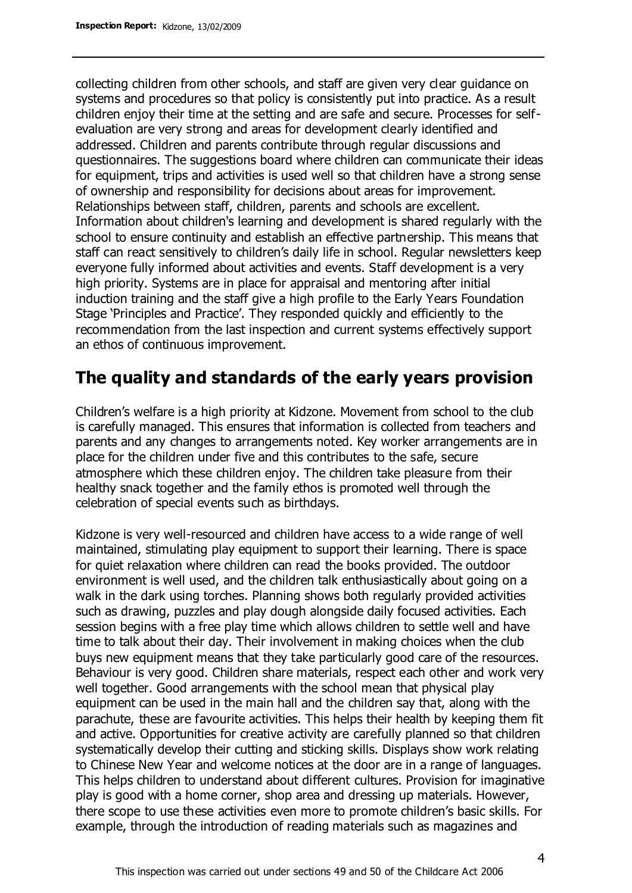collecting children from other schools, and staff are given very clear guidance on systems and procedures so that policy is consistently put into practice. As a result children enjoy their time at the setting and are safe and secure. Processes for selfevaluation are very strong and areas for development clearly identified and addressed. Children and parents contribute through regular discussions and questionnaires. The suggestions board where children can communicate their ideas for equipment, trips and activities is used well so that children have a strong sense of ownership and responsibility for decisions about areas for improvement. Relationships between staff, children, parents and schools are excellent. Information about children's learning and development is shared regularly with the school to ensure continuity and establish an effective partnership. This means that staff can react sensitively to children's daily life in school. Regular newsletters keep everyone fully informed about activities and events. Staff development is a very high priority. Systems are in place for appraisal and mentoring after initial induction training and the staff give a high profile to the Early Years Foundation Stage 'Principles and Practice'. They responded quickly and efficiently to the recommendation from the last inspection and current systems effectively support an ethos of continuous improvement.

### **The quality and standards of the early years provision**

Children's welfare is a high priority at Kidzone. Movement from school to the club is carefully managed. This ensures that information is collected from teachers and parents and any changes to arrangements noted. Key worker arrangements are in place for the children under five and this contributes to the safe, secure atmosphere which these children enjoy. The children take pleasure from their healthy snack together and the family ethos is promoted well through the celebration of special events such as birthdays.

Kidzone is very well-resourced and children have access to a wide range of well maintained, stimulating play equipment to support their learning. There is space for quiet relaxation where children can read the books provided. The outdoor environment is well used, and the children talk enthusiastically about going on a walk in the dark using torches. Planning shows both regularly provided activities such as drawing, puzzles and play dough alongside daily focused activities. Each session begins with a free play time which allows children to settle well and have time to talk about their day. Their involvement in making choices when the club buys new equipment means that they take particularly good care of the resources. Behaviour is very good. Children share materials, respect each other and work very well together. Good arrangements with the school mean that physical play equipment can be used in the main hall and the children say that, along with the parachute, these are favourite activities. This helps their health by keeping them fit and active. Opportunities for creative activity are carefully planned so that children systematically develop their cutting and sticking skills. Displays show work relating to Chinese New Year and welcome notices at the door are in a range of languages. This helps children to understand about different cultures. Provision for imaginative play is good with a home corner, shop area and dressing up materials. However, there scope to use these activities even more to promote children's basic skills. For example, through the introduction of reading materials such as magazines and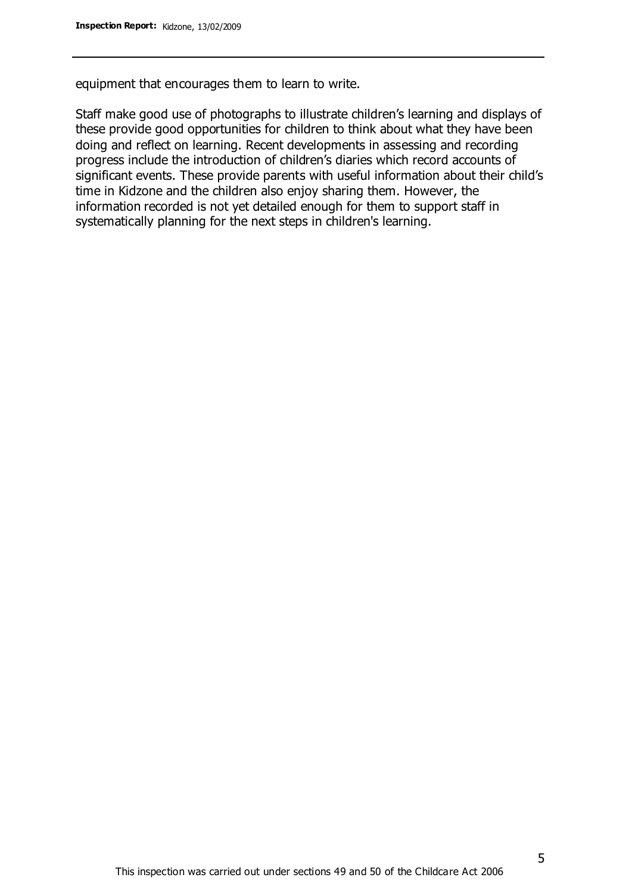equipment that encourages them to learn to write.

Staff make good use of photographs to illustrate children's learning and displays of these provide good opportunities for children to think about what they have been doing and reflect on learning. Recent developments in assessing and recording progress include the introduction of children's diaries which record accounts of significant events. These provide parents with useful information about their child's time in Kidzone and the children also enjoy sharing them. However, the information recorded is not yet detailed enough for them to support staff in systematically planning for the next steps in children's learning.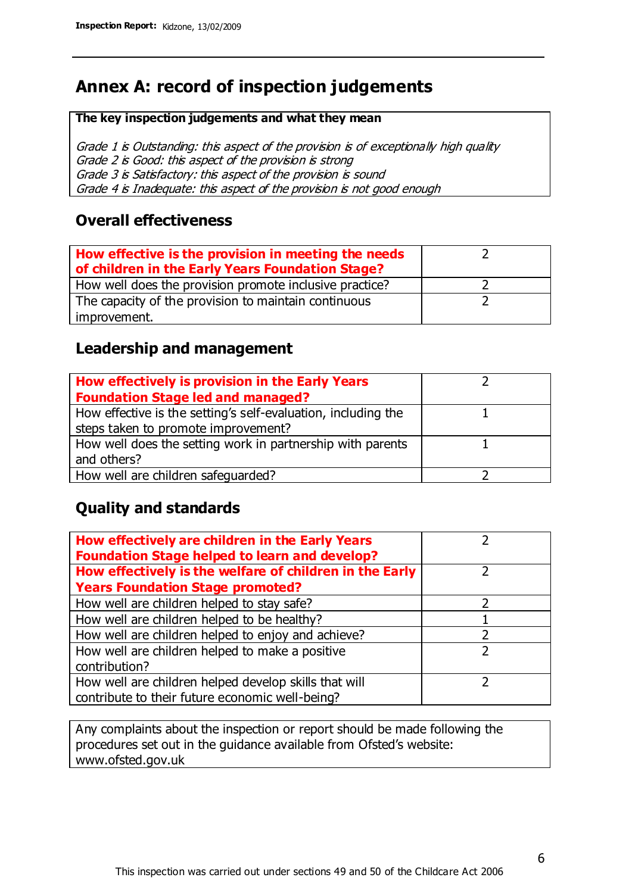## **Annex A: record of inspection judgements**

#### **The key inspection judgements and what they mean**

Grade 1 is Outstanding: this aspect of the provision is of exceptionally high quality Grade 2 is Good: this aspect of the provision is strong Grade 3 is Satisfactory: this aspect of the provision is sound Grade 4 is Inadequate: this aspect of the provision is not good enough

### **Overall effectiveness**

| How effective is the provision in meeting the needs<br>of children in the Early Years Foundation Stage? |  |
|---------------------------------------------------------------------------------------------------------|--|
| How well does the provision promote inclusive practice?                                                 |  |
| The capacity of the provision to maintain continuous                                                    |  |
| improvement.                                                                                            |  |

### **Leadership and management**

| How effectively is provision in the Early Years               |  |
|---------------------------------------------------------------|--|
| <b>Foundation Stage led and managed?</b>                      |  |
| How effective is the setting's self-evaluation, including the |  |
| steps taken to promote improvement?                           |  |
| How well does the setting work in partnership with parents    |  |
| and others?                                                   |  |
| How well are children safequarded?                            |  |

### **Quality and standards**

| How effectively are children in the Early Years<br><b>Foundation Stage helped to learn and develop?</b> |               |
|---------------------------------------------------------------------------------------------------------|---------------|
| How effectively is the welfare of children in the Early                                                 | ר             |
| <b>Years Foundation Stage promoted?</b>                                                                 |               |
| How well are children helped to stay safe?                                                              |               |
| How well are children helped to be healthy?                                                             |               |
| How well are children helped to enjoy and achieve?                                                      |               |
| How well are children helped to make a positive                                                         | $\mathcal{P}$ |
| contribution?                                                                                           |               |
| How well are children helped develop skills that will                                                   |               |
| contribute to their future economic well-being?                                                         |               |

Any complaints about the inspection or report should be made following the procedures set out in the guidance available from Ofsted's website: www.ofsted.gov.uk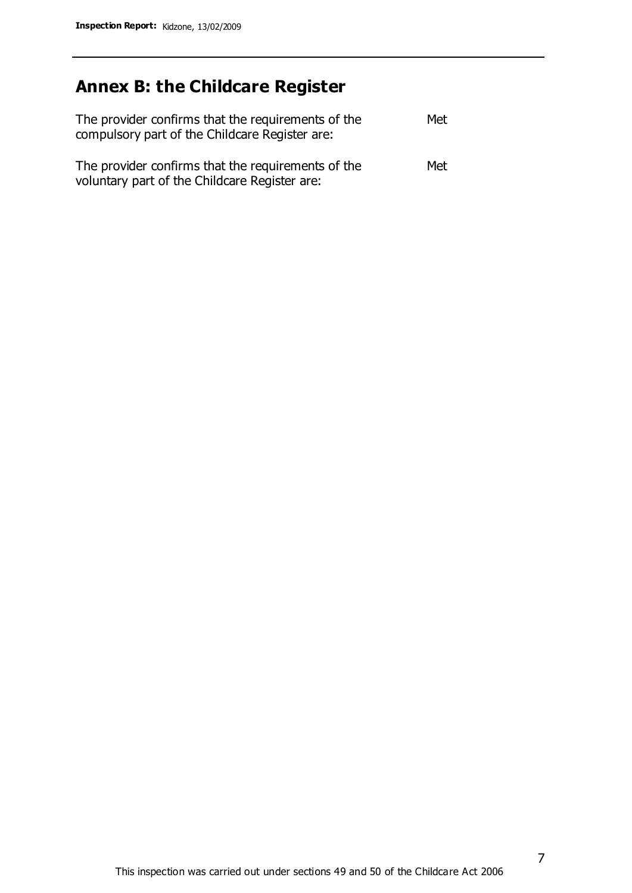# **Annex B: the Childcare Register**

| The provider confirms that the requirements of the<br>compulsory part of the Childcare Register are: | Met |
|------------------------------------------------------------------------------------------------------|-----|
| The provider confirms that the requirements of the<br>voluntary part of the Childcare Register are:  | Met |